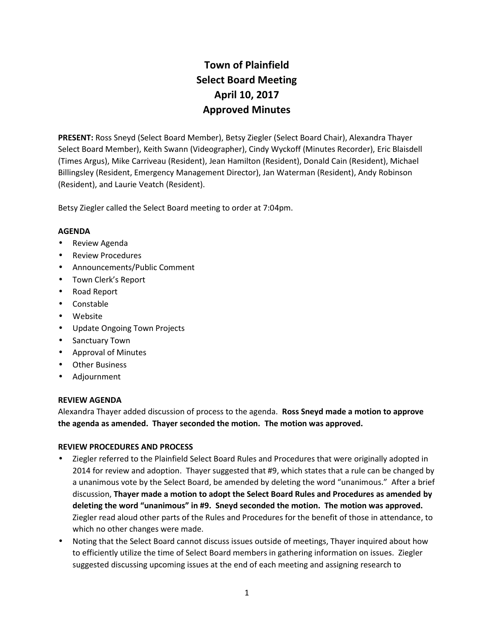# **Town of Plainfield Select Board Meeting April 10, 2017 Approved Minutes**

**PRESENT:** Ross Sneyd (Select Board Member), Betsy Ziegler (Select Board Chair), Alexandra Thayer Select Board Member), Keith Swann (Videographer), Cindy Wyckoff (Minutes Recorder), Eric Blaisdell (Times Argus), Mike Carriveau (Resident), Jean Hamilton (Resident), Donald Cain (Resident), Michael Billingsley (Resident, Emergency Management Director), Jan Waterman (Resident), Andy Robinson (Resident), and Laurie Veatch (Resident).

Betsy Ziegler called the Select Board meeting to order at 7:04pm.

## **AGENDA**

- Review Agenda
- Review Procedures
- Announcements/Public Comment
- Town Clerk's Report
- Road Report
- Constable
- Website
- Update Ongoing Town Projects
- Sanctuary Town
- Approval of Minutes
- Other Business
- Adjournment

## **REVIEW AGENDA**

Alexandra Thayer added discussion of process to the agenda. **Ross Sneyd made a motion to approve the agenda as amended. Thayer seconded the motion. The motion was approved.**

## **REVIEW PROCEDURES AND PROCESS**

- Ziegler referred to the Plainfield Select Board Rules and Procedures that were originally adopted in 2014 for review and adoption. Thayer suggested that #9, which states that a rule can be changed by a unanimous vote by the Select Board, be amended by deleting the word "unanimous." After a brief discussion, **Thayer made a motion to adopt the Select Board Rules and Procedures as amended by deleting the word "unanimous" in #9. Sneyd seconded the motion. The motion was approved.** Ziegler read aloud other parts of the Rules and Procedures for the benefit of those in attendance, to which no other changes were made.
- Noting that the Select Board cannot discuss issues outside of meetings, Thayer inquired about how to efficiently utilize the time of Select Board members in gathering information on issues. Ziegler suggested discussing upcoming issues at the end of each meeting and assigning research to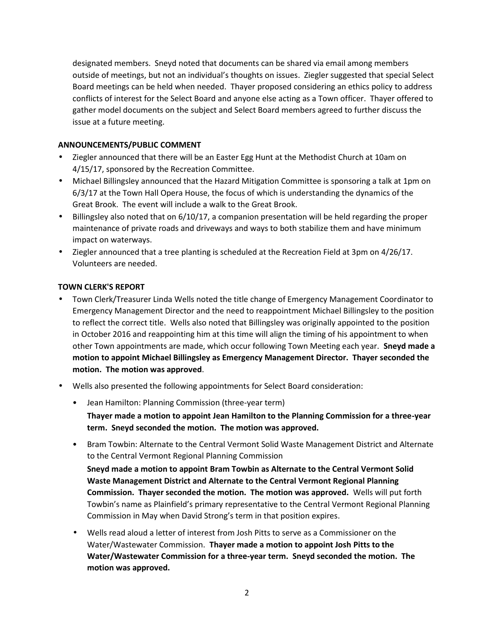designated members. Sneyd noted that documents can be shared via email among members outside of meetings, but not an individual's thoughts on issues. Ziegler suggested that special Select Board meetings can be held when needed. Thayer proposed considering an ethics policy to address conflicts of interest for the Select Board and anyone else acting as a Town officer. Thayer offered to gather model documents on the subject and Select Board members agreed to further discuss the issue at a future meeting.

## **ANNOUNCEMENTS/PUBLIC COMMENT**

- Ziegler announced that there will be an Easter Egg Hunt at the Methodist Church at 10am on 4/15/17, sponsored by the Recreation Committee.
- Michael Billingsley announced that the Hazard Mitigation Committee is sponsoring a talk at 1pm on 6/3/17 at the Town Hall Opera House, the focus of which is understanding the dynamics of the Great Brook. The event will include a walk to the Great Brook.
- Billingsley also noted that on 6/10/17, a companion presentation will be held regarding the proper maintenance of private roads and driveways and ways to both stabilize them and have minimum impact on waterways.
- Ziegler announced that a tree planting is scheduled at the Recreation Field at 3pm on 4/26/17. Volunteers are needed.

## **TOWN CLERK'S REPORT**

- Town Clerk/Treasurer Linda Wells noted the title change of Emergency Management Coordinator to Emergency Management Director and the need to reappointment Michael Billingsley to the position to reflect the correct title. Wells also noted that Billingsley was originally appointed to the position in October 2016 and reappointing him at this time will align the timing of his appointment to when other Town appointments are made, which occur following Town Meeting each year. **Sneyd made a motion to appoint Michael Billingsley as Emergency Management Director. Thayer seconded the motion. The motion was approved**.
- Wells also presented the following appointments for Select Board consideration:
	- Jean Hamilton: Planning Commission (three-year term)

**Thayer made a motion to appoint Jean Hamilton to the Planning Commission for a three-year term. Sneyd seconded the motion. The motion was approved.**

• Bram Towbin: Alternate to the Central Vermont Solid Waste Management District and Alternate to the Central Vermont Regional Planning Commission

**Sneyd made a motion to appoint Bram Towbin as Alternate to the Central Vermont Solid Waste Management District and Alternate to the Central Vermont Regional Planning Commission. Thayer seconded the motion. The motion was approved.** Wells will put forth Towbin's name as Plainfield's primary representative to the Central Vermont Regional Planning Commission in May when David Strong's term in that position expires.

 Wells read aloud a letter of interest from Josh Pitts to serve as a Commissioner on the Water/Wastewater Commission. **Thayer made a motion to appoint Josh Pitts to the Water/Wastewater Commission for a three-year term. Sneyd seconded the motion. The motion was approved.**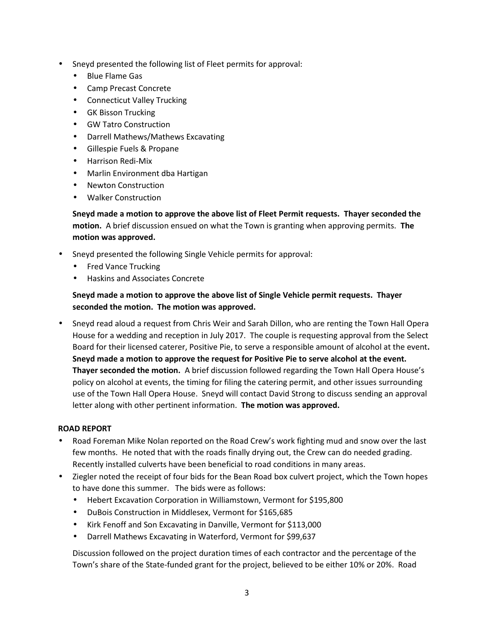- Sneyd presented the following list of Fleet permits for approval:
	- Blue Flame Gas
	- Camp Precast Concrete
	- Connecticut Valley Trucking
	- GK Bisson Trucking
	- GW Tatro Construction
	- Darrell Mathews/Mathews Excavating
	- Gillespie Fuels & Propane
	- Harrison Redi-Mix
	- Marlin Environment dba Hartigan
	- Newton Construction
	- Walker Construction

**Sneyd made a motion to approve the above list of Fleet Permit requests. Thayer seconded the motion.** A brief discussion ensued on what the Town is granting when approving permits. **The motion was approved.**

- Sneyd presented the following Single Vehicle permits for approval:
	- Fred Vance Trucking
	- Haskins and Associates Concrete

# **Sneyd made a motion to approve the above list of Single Vehicle permit requests. Thayer seconded the motion. The motion was approved.**

 Sneyd read aloud a request from Chris Weir and Sarah Dillon, who are renting the Town Hall Opera House for a wedding and reception in July 2017. The couple is requesting approval from the Select Board for their licensed caterer, Positive Pie, to serve a responsible amount of alcohol at the event**. Sneyd made a motion to approve the request for Positive Pie to serve alcohol at the event. Thayer seconded the motion.** A brief discussion followed regarding the Town Hall Opera House's policy on alcohol at events, the timing for filing the catering permit, and other issues surrounding use of the Town Hall Opera House. Sneyd will contact David Strong to discuss sending an approval letter along with other pertinent information. **The motion was approved.**

## **ROAD REPORT**

- Road Foreman Mike Nolan reported on the Road Crew's work fighting mud and snow over the last few months. He noted that with the roads finally drying out, the Crew can do needed grading. Recently installed culverts have been beneficial to road conditions in many areas.
- Ziegler noted the receipt of four bids for the Bean Road box culvert project, which the Town hopes to have done this summer. The bids were as follows:
	- Hebert Excavation Corporation in Williamstown, Vermont for \$195,800
	- DuBois Construction in Middlesex, Vermont for \$165,685
	- Kirk Fenoff and Son Excavating in Danville, Vermont for \$113,000
	- Darrell Mathews Excavating in Waterford, Vermont for \$99,637

Discussion followed on the project duration times of each contractor and the percentage of the Town's share of the State-funded grant for the project, believed to be either 10% or 20%. Road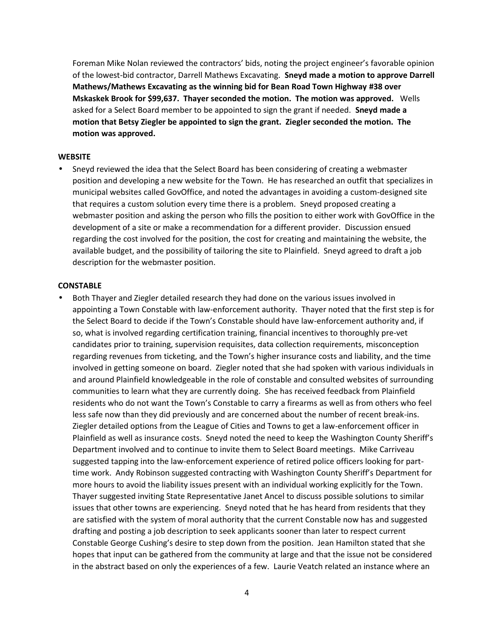Foreman Mike Nolan reviewed the contractors' bids, noting the project engineer's favorable opinion of the lowest-bid contractor, Darrell Mathews Excavating. **Sneyd made a motion to approve Darrell Mathews/Mathews Excavating as the winning bid for Bean Road Town Highway #38 over Mskaskek Brook for \$99,637. Thayer seconded the motion. The motion was approved.** Wells asked for a Select Board member to be appointed to sign the grant if needed. **Sneyd made a motion that Betsy Ziegler be appointed to sign the grant. Ziegler seconded the motion. The motion was approved.**

#### **WEBSITE**

 Sneyd reviewed the idea that the Select Board has been considering of creating a webmaster position and developing a new website for the Town. He has researched an outfit that specializes in municipal websites called GovOffice, and noted the advantages in avoiding a custom-designed site that requires a custom solution every time there is a problem. Sneyd proposed creating a webmaster position and asking the person who fills the position to either work with GovOffice in the development of a site or make a recommendation for a different provider. Discussion ensued regarding the cost involved for the position, the cost for creating and maintaining the website, the available budget, and the possibility of tailoring the site to Plainfield. Sneyd agreed to draft a job description for the webmaster position.

#### **CONSTABLE**

 Both Thayer and Ziegler detailed research they had done on the various issues involved in appointing a Town Constable with law-enforcement authority. Thayer noted that the first step is for the Select Board to decide if the Town's Constable should have law-enforcement authority and, if so, what is involved regarding certification training, financial incentives to thoroughly pre-vet candidates prior to training, supervision requisites, data collection requirements, misconception regarding revenues from ticketing, and the Town's higher insurance costs and liability, and the time involved in getting someone on board. Ziegler noted that she had spoken with various individuals in and around Plainfield knowledgeable in the role of constable and consulted websites of surrounding communities to learn what they are currently doing. She has received feedback from Plainfield residents who do not want the Town's Constable to carry a firearms as well as from others who feel less safe now than they did previously and are concerned about the number of recent break-ins. Ziegler detailed options from the League of Cities and Towns to get a law-enforcement officer in Plainfield as well as insurance costs. Sneyd noted the need to keep the Washington County Sheriff's Department involved and to continue to invite them to Select Board meetings. Mike Carriveau suggested tapping into the law-enforcement experience of retired police officers looking for part time work. Andy Robinson suggested contracting with Washington County Sheriff's Department for more hours to avoid the liability issues present with an individual working explicitly for the Town. Thayer suggested inviting State Representative Janet Ancel to discuss possible solutions to similar issues that other towns are experiencing. Sneyd noted that he has heard from residents that they are satisfied with the system of moral authority that the current Constable now has and suggested drafting and posting a job description to seek applicants sooner than later to respect current Constable George Cushing's desire to step down from the position. Jean Hamilton stated that she hopes that input can be gathered from the community at large and that the issue not be considered in the abstract based on only the experiences of a few. Laurie Veatch related an instance where an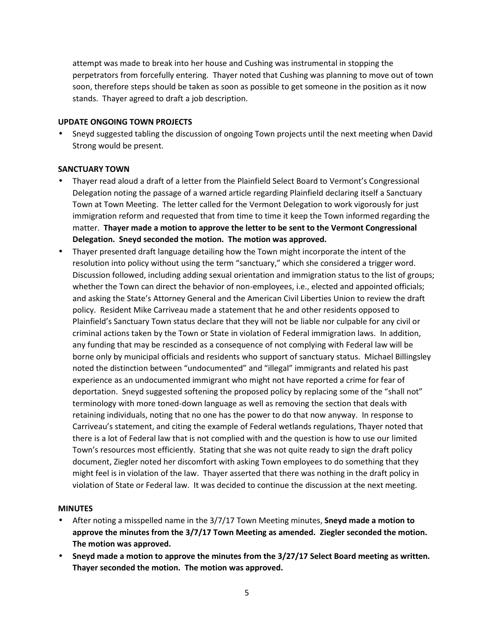attempt was made to break into her house and Cushing was instrumental in stopping the perpetrators from forcefully entering. Thayer noted that Cushing was planning to move out of town soon, therefore steps should be taken as soon as possible to get someone in the position as it now stands. Thayer agreed to draft a job description.

## **UPDATE ONGOING TOWN PROJECTS**

 Sneyd suggested tabling the discussion of ongoing Town projects until the next meeting when David Strong would be present.

## **SANCTUARY TOWN**

- Thayer read aloud a draft of a letter from the Plainfield Select Board to Vermont's Congressional Delegation noting the passage of a warned article regarding Plainfield declaring itself a Sanctuary Town at Town Meeting. The letter called for the Vermont Delegation to work vigorously for just immigration reform and requested that from time to time it keep the Town informed regarding the matter. **Thayer made a motion to approve the letter to be sent to the Vermont Congressional Delegation. Sneyd seconded the motion. The motion was approved.**
- Thayer presented draft language detailing how the Town might incorporate the intent of the resolution into policy without using the term "sanctuary," which she considered a trigger word. Discussion followed, including adding sexual orientation and immigration status to the list of groups; whether the Town can direct the behavior of non-employees, i.e., elected and appointed officials; and asking the State's Attorney General and the American Civil Liberties Union to review thedraft policy. Resident Mike Carriveau made a statement that he and other residents opposed to Plainfield's Sanctuary Town status declare that they will not be liable nor culpable for any civil or criminal actions taken by the Town or State in violation of Federal immigration laws. In addition, any funding that may be rescinded as a consequence of not complying with Federal law will be borne only by municipal officials and residents who support of sanctuary status. Michael Billingsley noted the distinction between "undocumented" and "illegal" immigrants and related his past experience as an undocumented immigrant who might not have reported a crime for fear of deportation. Sneyd suggested softening the proposed policy by replacing some of the "shall not" terminology with more toned-down language as well as removing the section that deals with retaining individuals, noting that no one has the power to do that now anyway. In response to Carriveau's statement, and citing the example of Federal wetlands regulations, Thayer noted that there is a lot of Federal law that is not complied with and the question is how to use our limited Town's resources most efficiently. Stating that she was not quite ready to sign the draft policy document, Ziegler noted her discomfort with asking Town employees to do something that they might feel is in violation of the law. Thayer asserted that there was nothing in the draft policy in violation of State or Federal law. It was decided to continue the discussion at the next meeting.

#### **MINUTES**

- After noting a misspelled name in the 3/7/17 Town Meeting minutes, **Sneyd made a motion to approve the minutes from the 3/7/17 Town Meeting as amended. Ziegler seconded the motion. The motion was approved.**
- **Sneyd made a motion to approve the minutes from the 3/27/17 Select Board meeting as written. Thayer seconded the motion. The motion was approved.**